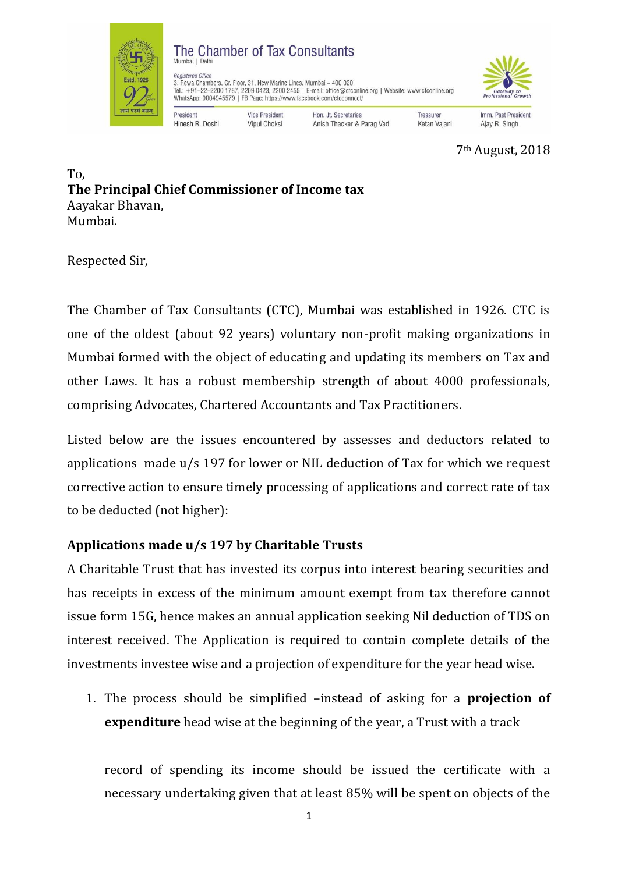

7th August, 2018

To, **The Principal Chief Commissioner of Income tax**  Aayakar Bhavan, Mumbai.

Respected Sir,

The Chamber of Tax Consultants (CTC), Mumbai was established in 1926. CTC is one of the oldest (about 92 years) voluntary non-profit making organizations in Mumbai formed with the object of educating and updating its members on Tax and other Laws. It has a robust membership strength of about 4000 professionals, comprising Advocates, Chartered Accountants and Tax Practitioners.

Listed below are the issues encountered by assesses and deductors related to applications made u/s 197 for lower or NIL deduction of Tax for which we request corrective action to ensure timely processing of applications and correct rate of tax to be deducted (not higher):

## **Applications made u/s 197 by Charitable Trusts**

A Charitable Trust that has invested its corpus into interest bearing securities and has receipts in excess of the minimum amount exempt from tax therefore cannot issue form 15G, hence makes an annual application seeking Nil deduction of TDS on interest received. The Application is required to contain complete details of the investments investee wise and a projection of expenditure for the year head wise.

1. The process should be simplified –instead of asking for a **projection of expenditure** head wise at the beginning of the year, a Trust with a track

record of spending its income should be issued the certificate with a necessary undertaking given that at least 85% will be spent on objects of the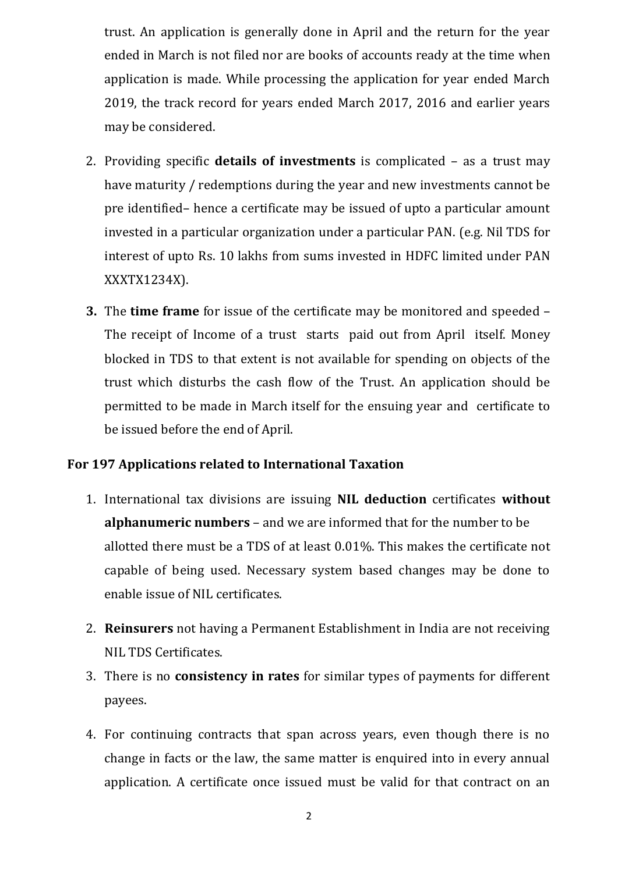trust. An application is generally done in April and the return for the year ended in March is not filed nor are books of accounts ready at the time when application is made. While processing the application for year ended March 2019, the track record for years ended March 2017, 2016 and earlier years may be considered.

- 2. Providing specific **details of investments** is complicated as a trust may have maturity / redemptions during the year and new investments cannot be pre identified– hence a certificate may be issued of upto a particular amount invested in a particular organization under a particular PAN. (e.g. Nil TDS for interest of upto Rs. 10 lakhs from sums invested in HDFC limited under PAN XXXTX1234X).
- **3.** The **time frame** for issue of the certificate may be monitored and speeded The receipt of Income of a trust starts paid out from April itself. Money blocked in TDS to that extent is not available for spending on objects of the trust which disturbs the cash flow of the Trust. An application should be permitted to be made in March itself for the ensuing year and certificate to be issued before the end of April.

## **For 197 Applications related to International Taxation**

- 1. International tax divisions are issuing **NIL deduction** certificates **without alphanumeric numbers** – and we are informed that for the number to be allotted there must be a TDS of at least 0.01%. This makes the certificate not capable of being used. Necessary system based changes may be done to enable issue of NIL certificates.
- 2. **Reinsurers** not having a Permanent Establishment in India are not receiving NIL TDS Certificates.
- 3. There is no **consistency in rates** for similar types of payments for different payees.
- 4. For continuing contracts that span across years, even though there is no change in facts or the law, the same matter is enquired into in every annual application. A certificate once issued must be valid for that contract on an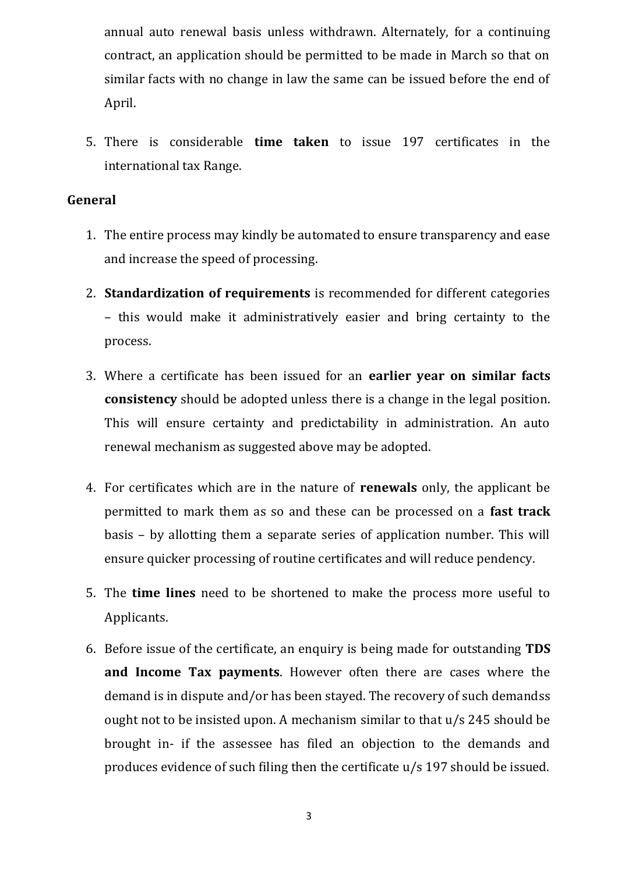annual auto renewal basis unless withdrawn. Alternately, for a continuing contract, an application should be permitted to be made in March so that on similar facts with no change in law the same can be issued before the end of April.

5. There is considerable **time taken** to issue 197 certificates in the international tax Range.

## **General**

- 1. The entire process may kindly be automated to ensure transparency and ease and increase the speed of processing.
- 2. **Standardization of requirements** is recommended for different categories – this would make it administratively easier and bring certainty to the process.
- 3. Where a certificate has been issued for an **earlier year on similar facts consistency** should be adopted unless there is a change in the legal position. This will ensure certainty and predictability in administration. An auto renewal mechanism as suggested above may be adopted.
- 4. For certificates which are in the nature of **renewals** only, the applicant be permitted to mark them as so and these can be processed on a **fast track** basis – by allotting them a separate series of application number. This will ensure quicker processing of routine certificates and will reduce pendency.
- 5. The **time lines** need to be shortened to make the process more useful to Applicants.
- 6. Before issue of the certificate, an enquiry is being made for outstanding **TDS and Income Tax payments**. However often there are cases where the demand is in dispute and/or has been stayed. The recovery of such demandss ought not to be insisted upon. A mechanism similar to that u/s 245 should be brought in- if the assessee has filed an objection to the demands and produces evidence of such filing then the certificate u/s 197 should be issued.